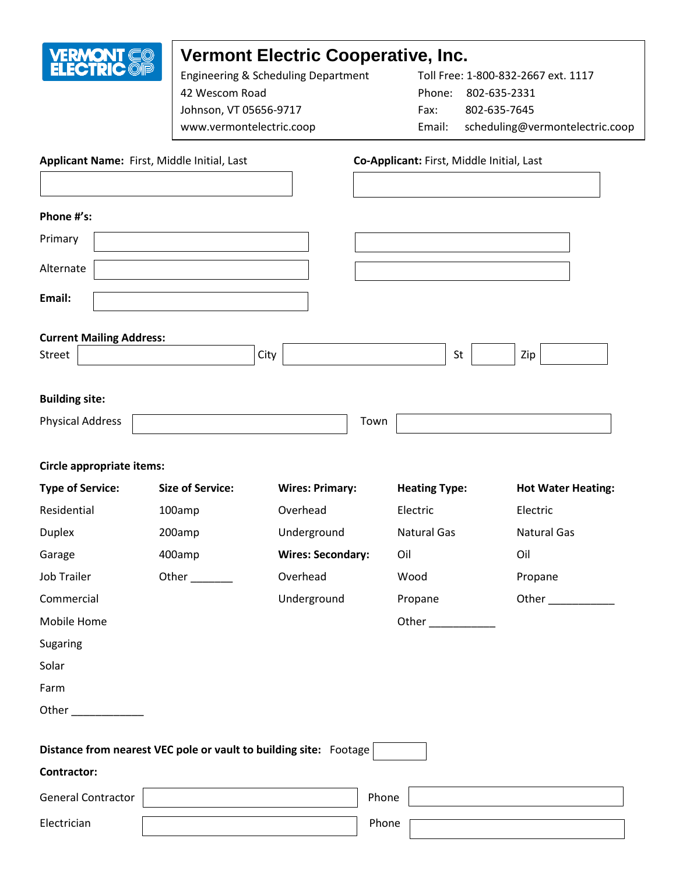

# **Vermont Electric Cooperative, Inc.**

42 Wescom Road Phone: 802-635-2331 Johnson, VT 05656-9717 Fax: 802-635-7645

Engineering & Scheduling Department Toll Free: 1-800-832-2667 ext. 1117 www.vermontelectric.coop Email: scheduling@vermontelectric.coop

| Applicant Name: First, Middle Initial, Last      |                         |                                                                   | Co-Applicant: First, Middle Initial, Last |                           |  |  |
|--------------------------------------------------|-------------------------|-------------------------------------------------------------------|-------------------------------------------|---------------------------|--|--|
|                                                  |                         |                                                                   |                                           |                           |  |  |
| Phone #'s:                                       |                         |                                                                   |                                           |                           |  |  |
| Primary                                          |                         |                                                                   |                                           |                           |  |  |
| Alternate                                        |                         |                                                                   |                                           |                           |  |  |
| Email:                                           |                         |                                                                   |                                           |                           |  |  |
| <b>Current Mailing Address:</b>                  |                         |                                                                   |                                           |                           |  |  |
| Street                                           |                         | City                                                              | St                                        | Zip                       |  |  |
| <b>Building site:</b><br><b>Physical Address</b> |                         | Town                                                              |                                           |                           |  |  |
| Circle appropriate items:                        |                         |                                                                   |                                           |                           |  |  |
| <b>Type of Service:</b>                          | <b>Size of Service:</b> | <b>Wires: Primary:</b>                                            | <b>Heating Type:</b>                      | <b>Hot Water Heating:</b> |  |  |
| Residential                                      | 100amp                  | Overhead                                                          | Electric                                  | Electric                  |  |  |
| <b>Duplex</b>                                    | 200amp                  | Underground                                                       | <b>Natural Gas</b>                        | <b>Natural Gas</b>        |  |  |
| Garage                                           | 400amp                  | <b>Wires: Secondary:</b>                                          | Oil                                       | Oil                       |  |  |
| Job Trailer                                      | Other $\_\_$            | Overhead                                                          | Wood                                      | Propane                   |  |  |
| Commercial                                       |                         | Underground                                                       | Propane                                   | Other                     |  |  |
| Mobile Home                                      |                         |                                                                   | Other                                     |                           |  |  |
| Sugaring                                         |                         |                                                                   |                                           |                           |  |  |
| Solar                                            |                         |                                                                   |                                           |                           |  |  |
| Farm                                             |                         |                                                                   |                                           |                           |  |  |
| Other                                            |                         |                                                                   |                                           |                           |  |  |
|                                                  |                         | Distance from nearest VEC pole or vault to building site: Footage |                                           |                           |  |  |
| Contractor:                                      |                         |                                                                   |                                           |                           |  |  |
| <b>General Contractor</b>                        |                         |                                                                   | Phone                                     |                           |  |  |
| Electrician                                      |                         |                                                                   | Phone                                     |                           |  |  |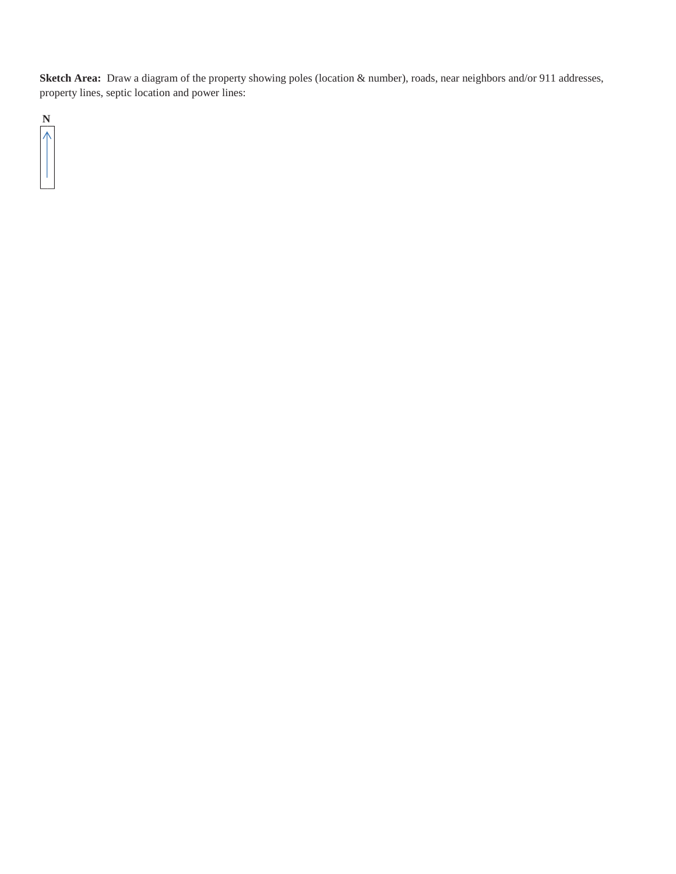Sketch Area: Draw a diagram of the property showing poles (location & number), roads, near neighbors and/or 911 addresses, property lines, septic location and power lines:

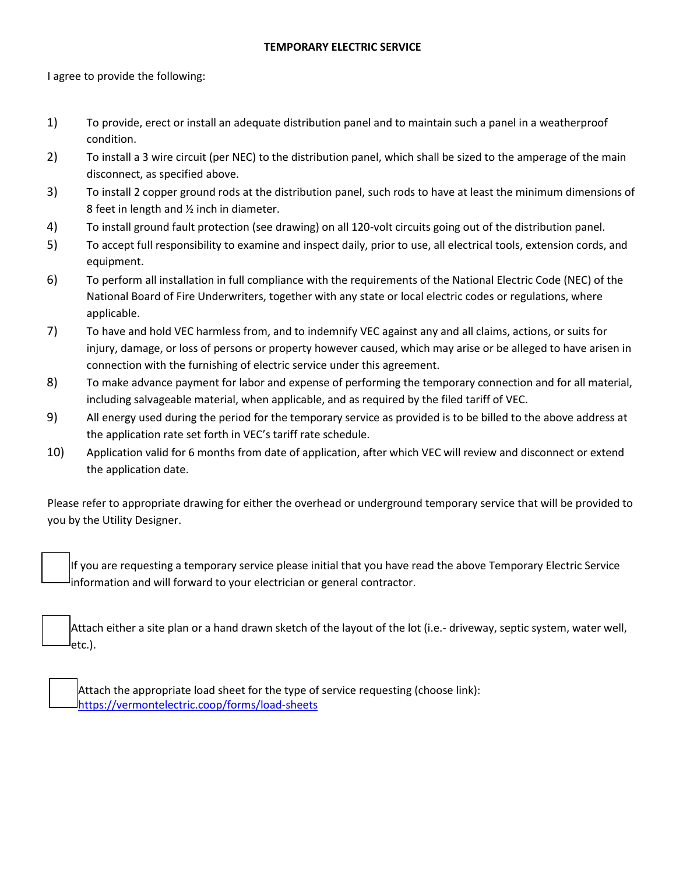#### **TEMPORARY ELECTRIC SERVICE**

I agree to provide the following:

- 1) To provide, erect or install an adequate distribution panel and to maintain such a panel in a weatherproof condition.
- 2) To install a 3 wire circuit (per NEC) to the distribution panel, which shall be sized to the amperage of the main disconnect, as specified above.
- 3) To install 2 copper ground rods at the distribution panel, such rods to have at least the minimum dimensions of 8 feet in length and ½ inch in diameter.
- 4) To install ground fault protection (see drawing) on all 120-volt circuits going out of the distribution panel.
- 5) To accept full responsibility to examine and inspect daily, prior to use, all electrical tools, extension cords, and equipment.
- 6) To perform all installation in full compliance with the requirements of the National Electric Code (NEC) of the National Board of Fire Underwriters, together with any state or local electric codes or regulations, where applicable.
- 7) To have and hold VEC harmless from, and to indemnify VEC against any and all claims, actions, or suits for injury, damage, or loss of persons or property however caused, which may arise or be alleged to have arisen in connection with the furnishing of electric service under this agreement.
- 8) To make advance payment for labor and expense of performing the temporary connection and for all material, including salvageable material, when applicable, and as required by the filed tariff of VEC.
- 9) All energy used during the period for the temporary service as provided is to be billed to the above address at the application rate set forth in VEC's tariff rate schedule.
- 10) Application valid for 6 months from date of application, after which VEC will review and disconnect or extend the application date.

Please refer to appropriate drawing for either the overhead or underground temporary service that will be provided to you by the Utility Designer.

If you are requesting a temporary service please initial that you have read the above Temporary Electric Service information and will forward to your electrician or general contractor.

Attach either a site plan or a hand drawn sketch of the layout of the lot (i.e.- driveway, septic system, water well, etc.).

Attach the appropriate load sheet for the type of service requesting (choose link): <https://vermontelectric.coop/forms/load>[-sheets](https://vermontelectric.coop/forms/load-sheets)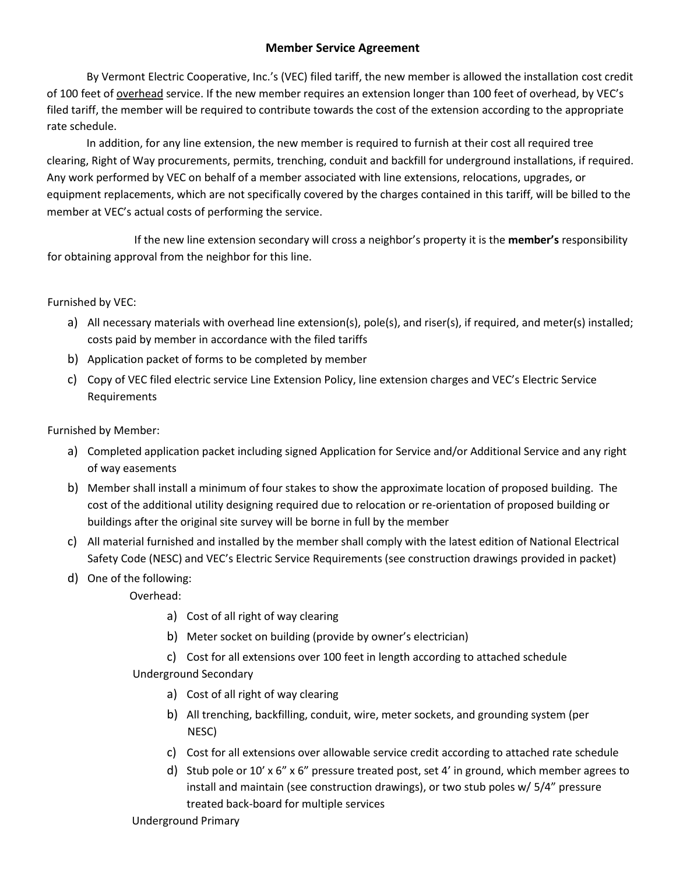## **Member Service Agreement**

By Vermont Electric Cooperative, Inc.'s (VEC) filed tariff, the new member is allowed the installation cost credit of 100 feet of overhead service. If the new member requires an extension longer than 100 feet of overhead, by VEC's filed tariff, the member will be required to contribute towards the cost of the extension according to the appropriate rate schedule.

In addition, for any line extension, the new member is required to furnish at their cost all required tree clearing, Right of Way procurements, permits, trenching, conduit and backfill for underground installations, if required. Any work performed by VEC on behalf of a member associated with line extensions, relocations, upgrades, or equipment replacements, which are not specifically covered by the charges contained in this tariff, will be billed to the member at VEC's actual costs of performing the service.

If the new line extension secondary will cross a neighbor's property it is the **member's** responsibility for obtaining approval from the neighbor for this line.

## Furnished by VEC:

- a) All necessary materials with overhead line extension(s), pole(s), and riser(s), if required, and meter(s) installed; costs paid by member in accordance with the filed tariffs
- b) Application packet of forms to be completed by member
- c) Copy of VEC filed electric service Line Extension Policy, line extension charges and VEC's Electric Service Requirements

Furnished by Member:

- a) Completed application packet including signed Application for Service and/or Additional Service and any right of way easements
- b) Member shall install a minimum of four stakes to show the approximate location of proposed building. The cost of the additional utility designing required due to relocation or re-orientation of proposed building or buildings after the original site survey will be borne in full by the member
- c) All material furnished and installed by the member shall comply with the latest edition of National Electrical Safety Code (NESC) and VEC's Electric Service Requirements (see construction drawings provided in packet)
- d) One of the following:

Overhead:

- a) Cost of all right of way clearing
- b) Meter socket on building (provide by owner's electrician)
- c) Cost for all extensions over 100 feet in length according to attached schedule

Underground Secondary

- a) Cost of all right of way clearing
- b) All trenching, backfilling, conduit, wire, meter sockets, and grounding system (per NESC)
- c) Cost for all extensions over allowable service credit according to attached rate schedule
- d) Stub pole or 10' x 6" x 6" pressure treated post, set 4' in ground, which member agrees to install and maintain (see construction drawings), or two stub poles w/ 5/4" pressure treated back-board for multiple services

#### Underground Primary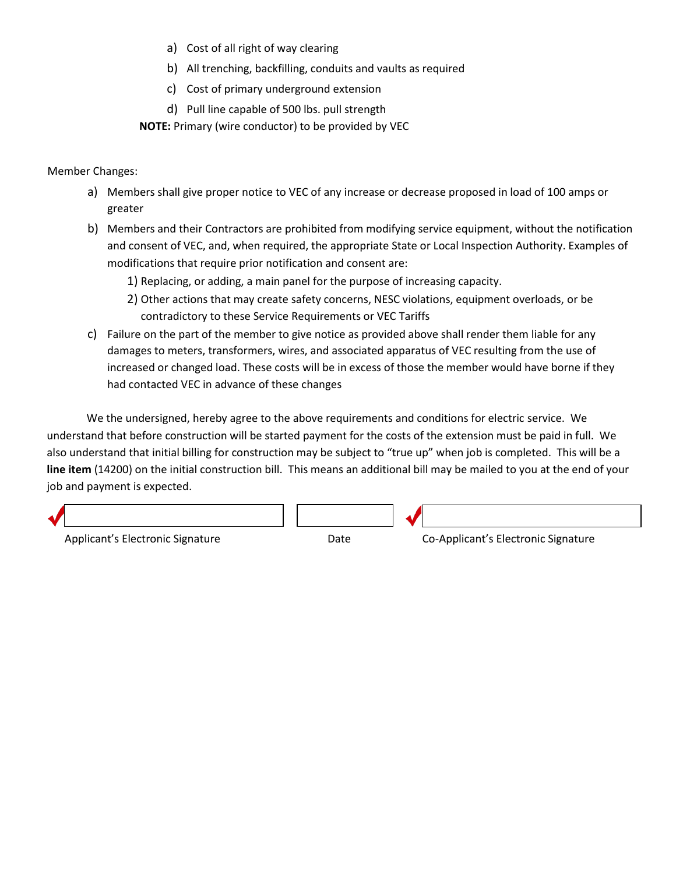- a) Cost of all right of way clearing
- b) All trenching, backfilling, conduits and vaults as required
- c) Cost of primary underground extension
- d) Pull line capable of 500 lbs. pull strength

**NOTE:** Primary (wire conductor) to be provided by VEC

Member Changes:

- a) Members shall give proper notice to VEC of any increase or decrease proposed in load of 100 amps or greater
- b) Members and their Contractors are prohibited from modifying service equipment, without the notification and consent of VEC, and, when required, the appropriate State or Local Inspection Authority. Examples of modifications that require prior notification and consent are:
	- 1) Replacing, or adding, a main panel for the purpose of increasing capacity.
	- 2) Other actions that may create safety concerns, NESC violations, equipment overloads, or be contradictory to these Service Requirements or VEC Tariffs
- c) Failure on the part of the member to give notice as provided above shall render them liable for any damages to meters, transformers, wires, and associated apparatus of VEC resulting from the use of increased or changed load. These costs will be in excess of those the member would have borne if they had contacted VEC in advance of these changes

We the undersigned, hereby agree to the above requirements and conditions for electric service. We understand that before construction will be started payment for the costs of the extension must be paid in full. We also understand that initial billing for construction may be subject to "true up" when job is completed. This will be a **line item** (14200) on the initial construction bill. This means an additional bill may be mailed to you at the end of your job and payment is expected.

| Applicant's Electronic Signature | Date | Co-Applicant's Electronic Signature |
|----------------------------------|------|-------------------------------------|